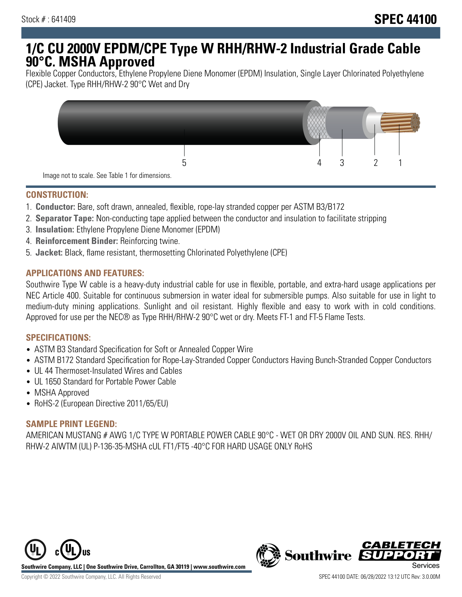# **1/C CU 2000V EPDM/CPE Type W RHH/RHW-2 Industrial Grade Cable 90°C. MSHA Approved**

Flexible Copper Conductors, Ethylene Propylene Diene Monomer (EPDM) Insulation, Single Layer Chlorinated Polyethylene (CPE) Jacket. Type RHH/RHW-2 90°C Wet and Dry



## **CONSTRUCTION:**

- 1. **Conductor:** Bare, soft drawn, annealed, flexible, rope-lay stranded copper per ASTM B3/B172
- 2. **Separator Tape:** Non-conducting tape applied between the conductor and insulation to facilitate stripping
- 3. **Insulation:** Ethylene Propylene Diene Monomer (EPDM)
- 4. **Reinforcement Binder:** Reinforcing twine.
- 5. **Jacket:** Black, flame resistant, thermosetting Chlorinated Polyethylene (CPE)

## **APPLICATIONS AND FEATURES:**

Southwire Type W cable is a heavy-duty industrial cable for use in flexible, portable, and extra-hard usage applications per NEC Article 400. Suitable for continuous submersion in water ideal for submersible pumps. Also suitable for use in light to medium-duty mining applications. Sunlight and oil resistant. Highly flexible and easy to work with in cold conditions. Approved for use per the NEC® as Type RHH/RHW-2 90°C wet or dry. Meets FT-1 and FT-5 Flame Tests.

#### **SPECIFICATIONS:**

- ASTM B3 Standard Specification for Soft or Annealed Copper Wire
- ASTM B172 Standard Specification for Rope-Lay-Stranded Copper Conductors Having Bunch-Stranded Copper Conductors
- UL 44 Thermoset-Insulated Wires and Cables
- UL 1650 Standard for Portable Power Cable
- MSHA Approved
- RoHS-2 (European Directive 2011/65/EU)

## **SAMPLE PRINT LEGEND:**

AMERICAN MUSTANG # AWG 1/C TYPE W PORTABLE POWER CABLE 90°C - WET OR DRY 2000V OIL AND SUN. RES. RHH/ RHW-2 AIWTM (UL) P-136-35-MSHA cUL FT1/FT5 -40°C FOR HARD USAGE ONLY RoHS